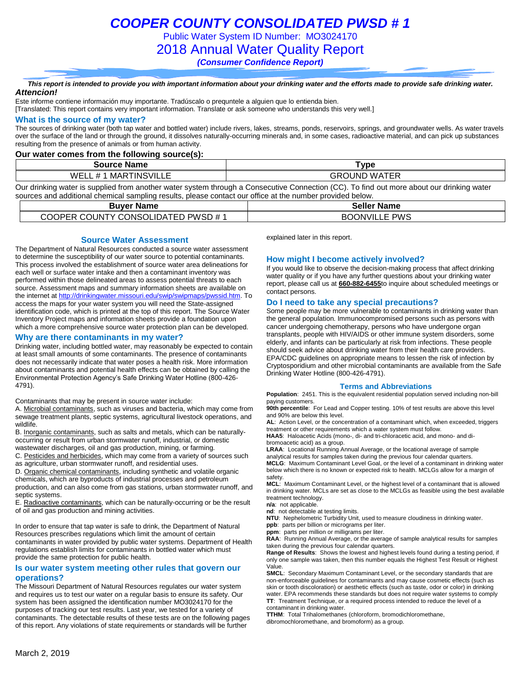## *COOPER COUNTY CONSOLIDATED PWSD # 1*

Public Water System ID Number: MO3024170

2018 Annual Water Quality Report

*(Consumer Confidence Report)*

#### *This report is intended to provide you with important information about your drinking water and the efforts made to provide safe drinking water. Attencion!*

Este informe contiene información muy importante. Tradúscalo o prequntele a alguien que lo entienda bien.

[Translated: This report contains very important information. Translate or ask someone who understands this very well.]

#### **What is the source of my water?**

The sources of drinking water (both tap water and bottled water) include rivers, lakes, streams, ponds, reservoirs, springs, and groundwater wells. As water travels over the surface of the land or through the ground, it dissolves naturally-occurring minerals and, in some cases, radioactive material, and can pick up substances resulting from the presence of animals or from human activity.

#### **Our water comes from the following source(s):**

| Name<br>Source    | <b>VDE</b>         |
|-------------------|--------------------|
| TINSVILLE         | . <del>. .</del> . |
| $\mathbf{u}$      | :OUND              |
| ,MAR <sup>→</sup> | GR                 |
| w.                | `WAT.              |
| $^{\rm \pi}$      | . ∟∟               |
| . டடட             | .                  |

Our drinking water is supplied from another water system through a Consecutive Connection (CC). To find out more about our drinking water sources and additional chemical sampling results, please contact our office at the number provided below.

| <b>Buver Name</b>                  | <b>Seller Name</b>   |
|------------------------------------|----------------------|
| COOPER COUNTY CONSOLIDATED PWSD #1 | <b>BOONVILLE PWS</b> |

#### **Source Water Assessment**

The Department of Natural Resources conducted a source water assessment to determine the susceptibility of our water source to potential contaminants. This process involved the establishment of source water area delineations for each well or surface water intake and then a contaminant inventory was performed within those delineated areas to assess potential threats to each source. Assessment maps and summary information sheets are available on the internet a[t http://drinkingwater.missouri.edu/swip/swipmaps/pwssid.htm.](http://drinkingwater.missouri.edu/swip/swipmaps/pwssid.htm) To access the maps for your water system you will need the State-assigned identification code, which is printed at the top of this report. The Source Water Inventory Project maps and information sheets provide a foundation upon which a more comprehensive source water protection plan can be developed.

#### **Why are there contaminants in my water?**

Drinking water, including bottled water, may reasonably be expected to contain at least small amounts of some contaminants. The presence of contaminants does not necessarily indicate that water poses a health risk. More information about contaminants and potential health effects can be obtained by calling the Environmental Protection Agency's Safe Drinking Water Hotline (800-426- 4791).

Contaminants that may be present in source water include:

A. Microbial contaminants, such as viruses and bacteria, which may come from sewage treatment plants, septic systems, agricultural livestock operations, and wildlife.

B. Inorganic contaminants, such as salts and metals, which can be naturallyoccurring or result from urban stormwater runoff, industrial, or domestic wastewater discharges, oil and gas production, mining, or farming.

C. Pesticides and herbicides, which may come from a variety of sources such as agriculture, urban stormwater runoff, and residential uses.

D. Organic chemical contaminants, including synthetic and volatile organic chemicals, which are byproducts of industrial processes and petroleum production, and can also come from gas stations, urban stormwater runoff, and septic systems.

E. Radioactive contaminants, which can be naturally-occurring or be the result of oil and gas production and mining activities.

In order to ensure that tap water is safe to drink, the Department of Natural Resources prescribes regulations which limit the amount of certain contaminants in water provided by public water systems. Department of Health regulations establish limits for contaminants in bottled water which must provide the same protection for public health.

#### **Is our water system meeting other rules that govern our operations?**

The Missouri Department of Natural Resources regulates our water system and requires us to test our water on a regular basis to ensure its safety. Our system has been assigned the identification number MO3024170 for the purposes of tracking our test results. Last year, we tested for a variety of contaminants. The detectable results of these tests are on the following pages of this report. Any violations of state requirements or standards will be further

explained later in this report.

#### **How might I become actively involved?**

If you would like to observe the decision-making process that affect drinking water quality or if you have any further questions about your drinking water report, please call us at **660-882-6455**to inquire about scheduled meetings or contact persons.

#### **Do I need to take any special precautions?**

Some people may be more vulnerable to contaminants in drinking water than the general population. Immunocompromised persons such as persons with cancer undergoing chemotherapy, persons who have undergone organ transplants, people with HIV/AIDS or other immune system disorders, some elderly, and infants can be particularly at risk from infections. These people should seek advice about drinking water from their health care providers. EPA/CDC guidelines on appropriate means to lessen the risk of infection by Cryptosporidium and other microbial contaminants are available from the Safe Drinking Water Hotline (800-426-4791).

#### **Terms and Abbreviations**

**Population**: 2451. This is the equivalent residential population served including non-bill paying customers.

**90th percentile**: For Lead and Copper testing. 10% of test results are above this level and 90% are below this level.

**AL**: Action Level, or the concentration of a contaminant which, when exceeded, triggers treatment or other requirements which a water system must follow.

**HAA5**: Haloacetic Acids (mono-, di- and tri-chloracetic acid, and mono- and dibromoacetic acid) as a group.

**LRAA**: Locational Running Annual Average, or the locational average of sample analytical results for samples taken during the previous four calendar quarters. **MCLG**: Maximum Contaminant Level Goal, or the level of a contaminant in drinking water below which there is no known or expected risk to health. MCLGs allow for a margin of safety.

**MCL**: Maximum Contaminant Level, or the highest level of a contaminant that is allowed in drinking water. MCLs are set as close to the MCLGs as feasible using the best available treatment technology.

**n/a**: not applicable.

**nd**: not detectable at testing limits.

**NTU**: Nephelometric Turbidity Unit, used to measure cloudiness in drinking water. **ppb**: parts per billion or micrograms per liter.

**ppm**: parts per million or milligrams per liter.

**RAA**: Running Annual Average, or the average of sample analytical results for samples taken during the previous four calendar quarters.

**Range of Results**: Shows the lowest and highest levels found during a testing period, if only one sample was taken, then this number equals the Highest Test Result or Highest Value.

**SMCL**: Secondary Maximum Contaminant Level, or the secondary standards that are non-enforceable guidelines for contaminants and may cause cosmetic effects (such as skin or tooth discoloration) or aesthetic effects (such as taste, odor or color) in drinking water. EPA recommends these standards but does not require water systems to comply **TT**: Treatment Technique, or a required process intended to reduce the level of a contaminant in drinking water.

**TTHM**: Total Trihalomethanes (chloroform, bromodichloromethane,

dibromochloromethane, and bromoform) as a group.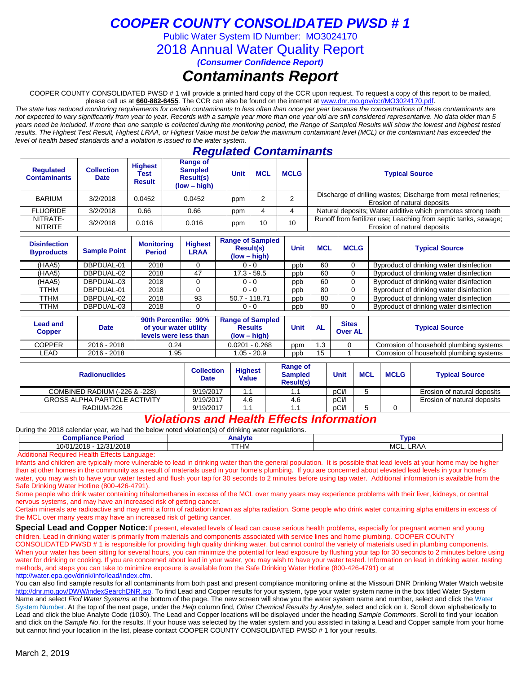## *COOPER COUNTY CONSOLIDATED PWSD # 1*

Public Water System ID Number: MO3024170

2018 Annual Water Quality Report

*(Consumer Confidence Report)*

## *Contaminants Report*

COOPER COUNTY CONSOLIDATED PWSD # 1 will provide a printed hard copy of the CCR upon request. To request a copy of this report to be mailed, please call us at **660-882-6455***.* The CCR can also be found on the internet at www.dnr.mo.gov/ccr/MO3024170.pdf.

*The state has reduced monitoring requirements for certain contaminants to less often than once per year because the concentrations of these contaminants are not expected to vary significantly from year to year. Records with a sample year more than one year old are still considered representative. No data older than 5 years need be included. If more than one sample is collected during the monitoring period, the Range of Sampled Results will show the lowest and highest tested results. The Highest Test Result, Highest LRAA, or Highest Value must be below the maximum contaminant level (MCL) or the contaminant has exceeded the level of health based standards and a violation is issued to the water system.* 

### *Regulated Contaminants*

| <b>Requlated</b><br><b>Contaminants</b> | <b>Collection</b><br><b>Date</b> | <b>Highest</b><br>Test<br><b>Result</b> | Range of<br><b>Sampled</b><br>Result(s)<br>$(low - high)$ | <b>Unit</b> | <b>MCL</b> | <b>MCLG</b> | <b>Typical Source</b>                                                                          |
|-----------------------------------------|----------------------------------|-----------------------------------------|-----------------------------------------------------------|-------------|------------|-------------|------------------------------------------------------------------------------------------------|
| <b>BARIUM</b>                           | 3/2/2018                         | 0.0452                                  | 0.0452                                                    | ppm         |            |             | Discharge of drilling wastes; Discharge from metal refineries;<br>Erosion of natural deposits  |
| <b>FLUORIDE</b>                         | 3/2/2018                         | 0.66                                    | 0.66                                                      | ppm         |            |             | Natural deposits; Water additive which promotes strong teeth                                   |
| NITRATE-<br><b>NITRITE</b>              | 3/2/2018                         | 0.016                                   | 0.016                                                     | ppm         | 10         | 10          | Runoff from fertilizer use; Leaching from septic tanks, sewage;<br>Erosion of natural deposits |

| <b>Disinfection</b><br><b>Byproducts</b> | <b>Sample Point</b> | <b>Monitoring</b><br><b>Period</b> | <b>Highest</b><br><b>LRAA</b> | <b>Range of Sampled</b><br><b>Result(s)</b><br>$(low - high)$ | Unit | <b>MCL</b> | <b>MCLG</b> | <b>Typical Source</b>                    |
|------------------------------------------|---------------------|------------------------------------|-------------------------------|---------------------------------------------------------------|------|------------|-------------|------------------------------------------|
| (HAA5)                                   | DBPDUAL-01          | 2018                               |                               | $0 - 0$                                                       | ppb  | 60         |             | Byproduct of drinking water disinfection |
| (HAA5)                                   | DBPDUAL-02          | 2018                               | 47                            | $17.3 - 59.5$                                                 | ppb  | 60         |             | Byproduct of drinking water disinfection |
| (HAA5)                                   | DBPDUAL-03          | 2018                               |                               | $0 - 0$                                                       | ppb  | 60         |             | Byproduct of drinking water disinfection |
| TTHM                                     | DBPDUAL-01          | 2018                               |                               | $0 - 0$                                                       | ppb  | 80         |             | Byproduct of drinking water disinfection |
| TTHM                                     | DBPDUAL-02          | 2018                               | 93                            | 50.7 - 118.71                                                 | ppb  | 80         |             | Byproduct of drinking water disinfection |
| TTHM                                     | DBPDUAL-03          | 2018                               |                               | $0 - 0$                                                       | ppb  | 80         |             | Byproduct of drinking water disinfection |

| Lead and<br>Copper | <b>Date</b> | 90th Percentile: 90%<br>of your water utility<br>levels were less than | <b>Range of Sampled</b><br><b>Results</b><br>(low – high) | Unit | <b>AL</b> | <b>Sites</b><br><b>Over AL</b> | <b>Typical Source</b>                   |
|--------------------|-------------|------------------------------------------------------------------------|-----------------------------------------------------------|------|-----------|--------------------------------|-----------------------------------------|
| <b>COPPER</b>      | 2016 - 2018 | 0.24                                                                   | $0.0201 - 0.268$                                          | ppm  | .3        |                                | Corrosion of household plumbing systems |
| -EAD               | 2016 - 2018 | 1.95                                                                   | $1.05 - 20.9$                                             | ppb  | 15        |                                | Corrosion of household plumbing systems |

| <b>Radionuclides</b>                 | Collection<br><b>Date</b> | <b>Highest</b><br>Value | Range of<br><b>Sampled</b><br><b>Result(s)</b> | Unit  | <b>MCL</b> | <b>MCLG</b> | <b>Typical Source</b>       |
|--------------------------------------|---------------------------|-------------------------|------------------------------------------------|-------|------------|-------------|-----------------------------|
| COMBINED RADIUM (-226 & -228)        | 9/19/2017                 |                         |                                                | pCi/l |            |             | Erosion of natural deposits |
| <b>GROSS ALPHA PARTICLE ACTIVITY</b> | 9/19/2017                 | 4.6                     | 4.6                                            | pCi/l |            |             | Erosion of natural deposits |
| RADIUM-226                           | 9/19/2017                 |                         |                                                | pCi/l |            |             |                             |

### *Violations and Health Effects Information*

During the 2018 calendar year, we had the below noted violation(s) of drinking water regulations.

| $\sim$<br>10015<br>. .<br>. | Compliance<br>Perioc | Analvte | Tvpe            |
|-----------------------------|----------------------|---------|-----------------|
|                             | 12/31/2018<br>0/01   | TTHM    | MCL<br>von<br>_ |

Additional Required Health Effects Language:

Infants and children are typically more vulnerable to lead in drinking water than the general population. It is possible that lead levels at your home may be higher than at other homes in the community as a result of materials used in your home's plumbing. If you are concerned about elevated lead levels in your home's water, you may wish to have your water tested and flush your tap for 30 seconds to 2 minutes before using tap water. Additional information is available from the Safe Drinking Water Hotline (800-426-4791).

Some people who drink water containing trihalomethanes in excess of the MCL over many years may experience problems with their liver, kidneys, or central nervous systems, and may have an increased risk of getting cancer.

Certain minerals are radioactive and may emit a form of radiation known as alpha radiation. Some people who drink water containing alpha emitters in excess of the MCL over many years may have an increased risk of getting cancer.

**Special Lead and Copper Notice:**If present, elevated levels of lead can cause serious health problems, especially for pregnant women and young children. Lead in drinking water is primarily from materials and components associated with service lines and home plumbing. COOPER COUNTY CONSOLIDATED PWSD # 1 is responsible for providing high quality drinking water, but cannot control the variety of materials used in plumbing components. When your water has been sitting for several hours, you can minimize the potential for lead exposure by flushing your tap for 30 seconds to 2 minutes before using water for drinking or cooking. If you are concerned about lead in your water, you may wish to have your water tested. Information on lead in drinking water, testing methods, and steps you can take to minimize exposure is available from the Safe Drinking Water Hotline (800-426-4791) or at [http://water.epa.gov/drink/info/lead/index.cfm.](http://water.epa.gov/drink/info/lead/index.cfm)

You can also find sample results for all contaminants from both past and present compliance monitoring online at the Missouri DNR Drinking Water Watch website [http://dnr.mo.gov/DWW/indexSearchDNR.jsp.](http://dnr.mo.gov/DWW/indexSearchDNR.jsp) To find Lead and Copper results for your system, type your water system name in the box titled Water System Name and select *Find Water Systems* at the bottom of the page. The new screen will show you the water system name and number, select and click the Water System Number. At the top of the next page, under the *Help* column find, *Other Chemical Results by Analyte*, select and click on it. Scroll down alphabetically to Lead and click the blue Analyte Code (1030). The Lead and Copper locations will be displayed under the heading *Sample Comments*. Scroll to find your location and click on the *Sample No*. for the results. If your house was selected by the water system and you assisted in taking a Lead and Copper sample from your home but cannot find your location in the list, please contact COOPER COUNTY CONSOLIDATED PWSD # 1 for your results.